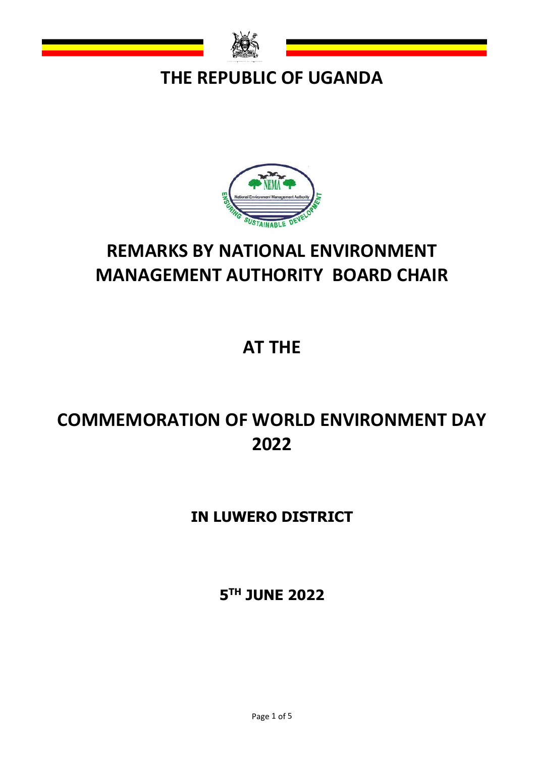

## **THE REPUBLIC OF UGANDA**



# **REMARKS BY NATIONAL ENVIRONMENT MANAGEMENT AUTHORITY BOARD CHAIR**

### **AT THE**

# **COMMEMORATION OF WORLD ENVIRONMENT DAY 2022**

#### **IN LUWERO DISTRICT**

**5 TH JUNE 2022**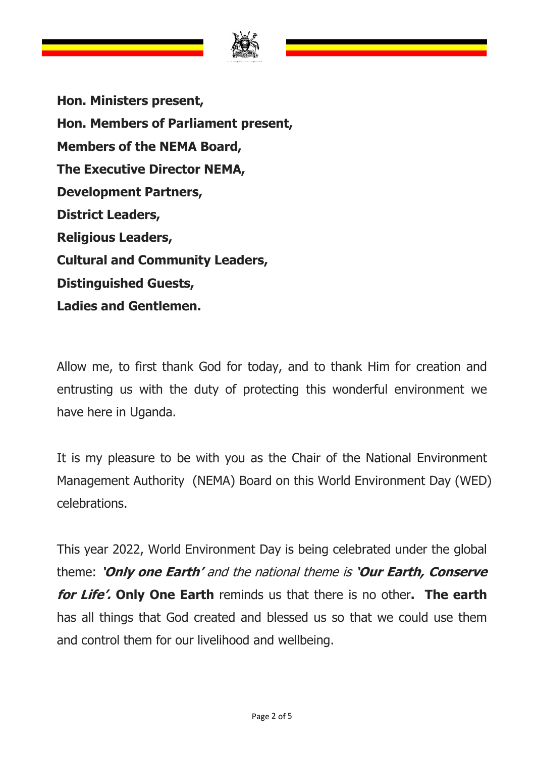

**Hon. Ministers present, Hon. Members of Parliament present, Members of the NEMA Board, The Executive Director NEMA, Development Partners, District Leaders, Religious Leaders, Cultural and Community Leaders, Distinguished Guests,**

**Ladies and Gentlemen.**

Allow me, to first thank God for today, and to thank Him for creation and entrusting us with the duty of protecting this wonderful environment we have here in Uganda.

It is my pleasure to be with you as the Chair of the National Environment Management Authority (NEMA) Board on this World Environment Day (WED) celebrations.

This year 2022, World Environment Day is being celebrated under the global theme: **'Only one Earth'** and the national theme is **'Our Earth, Conserve for Life'. Only One Earth** reminds us thatthere is no other**. The earth** has all things that God created and blessed us so that we could use them and control them for our livelihood and wellbeing.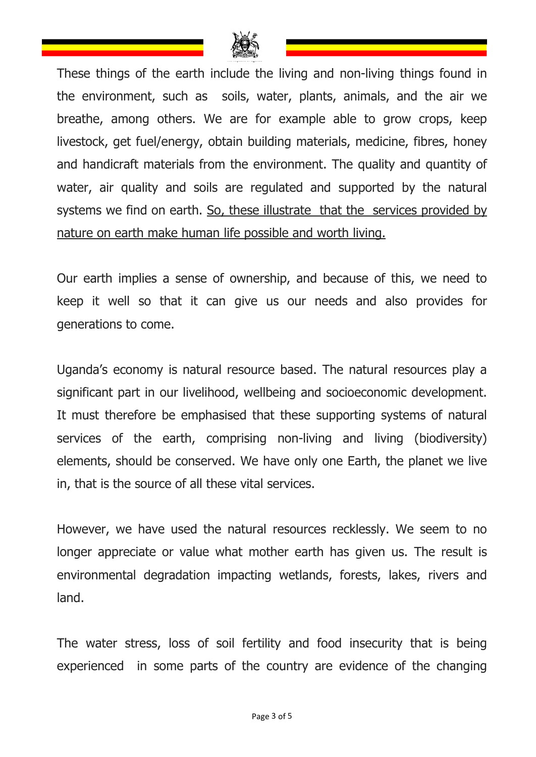

These things of the earth include the living and non-living things found in the environment, such as soils, water, plants, animals, and the air we breathe, among others. We are for example able to grow crops, keep livestock, get fuel/energy, obtain building materials, medicine, fibres, honey and handicraft materials from the environment. The quality and quantity of water, air quality and soils are regulated and supported by the natural systems we find on earth. So, these illustrate that the services provided by nature on earth make human life possible and worth living.

Our earth implies a sense of ownership, and because of this, we need to keep it well so that it can give us our needs and also provides for generations to come.

Uganda's economy is natural resource based. The natural resources play a significant part in our livelihood, wellbeing and socioeconomic development. It must therefore be emphasised that these supporting systems of natural services of the earth, comprising non-living and living (biodiversity) elements, should be conserved. We have only one Earth, the planet we live in, that is the source of all these vital services.

However, we have used the natural resources recklessly. We seem to no longer appreciate or value what mother earth has given us. The result is environmental degradation impacting wetlands, forests, lakes, rivers and land.

The water stress, loss of soil fertility and food insecurity that is being experienced in some parts of the country are evidence of the changing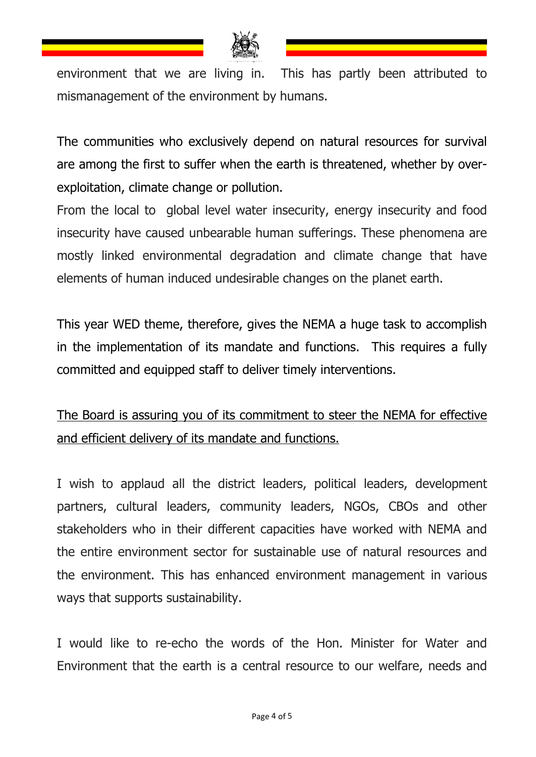

environment that we are living in. This has partly been attributed to mismanagement of the environment by humans.

The communities who exclusively depend on natural resources for survival are among the first to suffer when the earth is threatened, whether by over-exploitation, climate change or pollution.

From the local to global level water insecurity, energy insecurity and food insecurity have caused unbearable human sufferings. These phenomena are mostly linked environmental degradation and climate change that have elements of human induced undesirable changes on the planet earth.

This year WED theme, therefore, gives the NEMA a huge task to accomplish in the implementation of its mandate and functions. This requires a fully committed and equipped staff to deliver timely interventions.

The Board is assuring you of its commitment to steer the NEMA for effective and efficient delivery of its mandate and functions.

I wish to applaud all the district leaders, political leaders, development partners, cultural leaders, community leaders, NGOs, CBOs and other stakeholders who in their different capacities have worked with NEMA and the entire environment sector for sustainable use of natural resources and the environment. This has enhanced environment management in various ways that supports sustainability.

I would like to re-echo the words of the Hon. Minister for Water and Environment that the earth is a central resource to our welfare, needs and